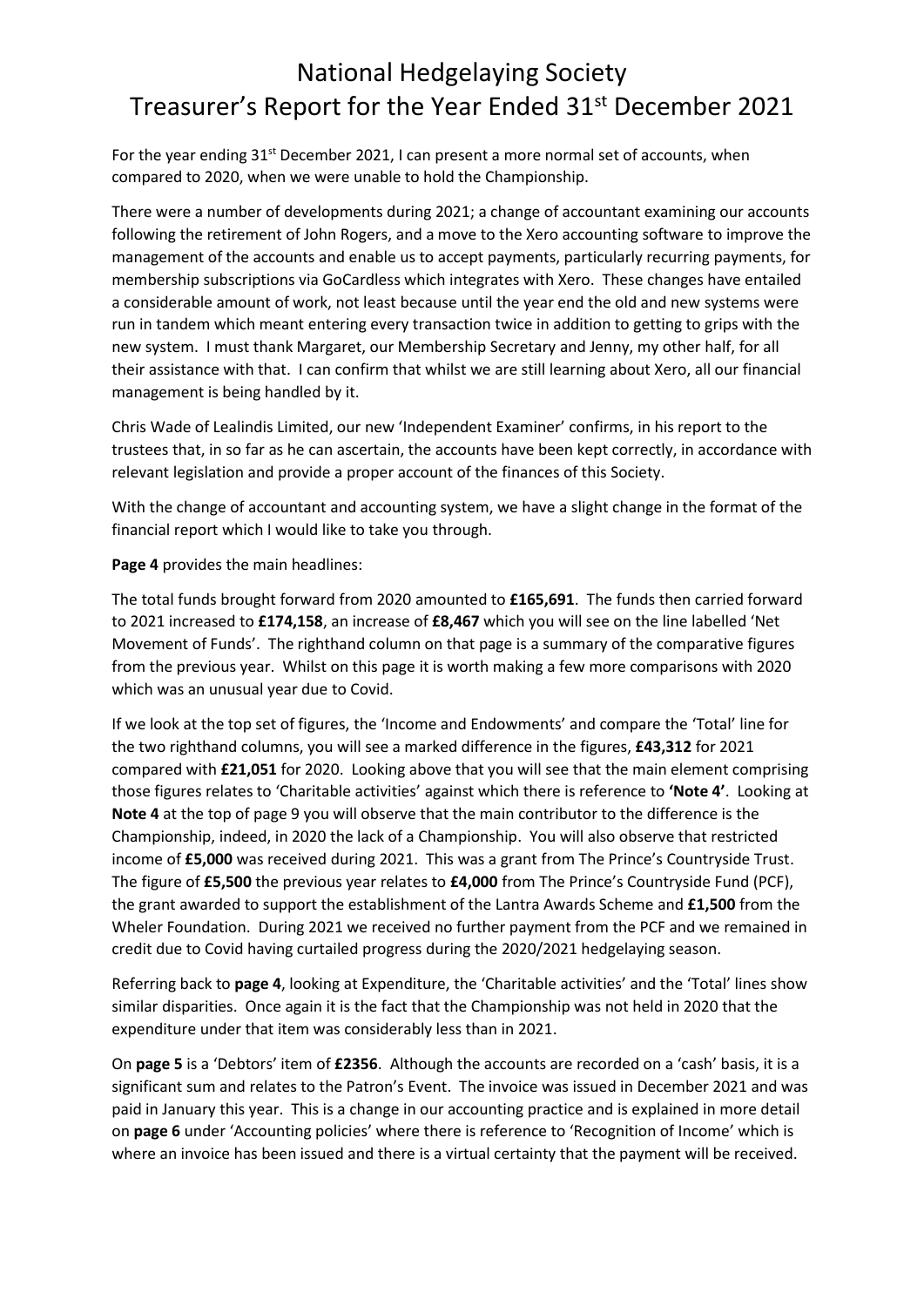## National Hedgelaying Society Treasurer's Report for the Year Ended 31<sup>st</sup> December 2021

For the year ending 31<sup>st</sup> December 2021, I can present a more normal set of accounts, when compared to 2020, when we were unable to hold the Championship.

There were a number of developments during 2021; a change of accountant examining our accounts following the retirement of John Rogers, and a move to the Xero accounting software to improve the management of the accounts and enable us to accept payments, particularly recurring payments, for membership subscriptions via GoCardless which integrates with Xero. These changes have entailed a considerable amount of work, not least because until the year end the old and new systems were run in tandem which meant entering every transaction twice in addition to getting to grips with the new system. I must thank Margaret, our Membership Secretary and Jenny, my other half, for all their assistance with that. I can confirm that whilst we are still learning about Xero, all our financial management is being handled by it.

Chris Wade of Lealindis Limited, our new 'Independent Examiner' confirms, in his report to the trustees that, in so far as he can ascertain, the accounts have been kept correctly, in accordance with relevant legislation and provide a proper account of the finances of this Society.

With the change of accountant and accounting system, we have a slight change in the format of the financial report which I would like to take you through.

**Page 4** provides the main headlines:

The total funds brought forward from 2020 amounted to **£165,691**. The funds then carried forward to 2021 increased to **£174,158**, an increase of **£8,467** which you will see on the line labelled 'Net Movement of Funds'. The righthand column on that page is a summary of the comparative figures from the previous year. Whilst on this page it is worth making a few more comparisons with 2020 which was an unusual year due to Covid.

If we look at the top set of figures, the 'Income and Endowments' and compare the 'Total' line for the two righthand columns, you will see a marked difference in the figures, **£43,312** for 2021 compared with **£21,051** for 2020. Looking above that you will see that the main element comprising those figures relates to 'Charitable activities' against which there is reference to **'Note 4'**. Looking at **Note 4** at the top of page 9 you will observe that the main contributor to the difference is the Championship, indeed, in 2020 the lack of a Championship. You will also observe that restricted income of **£5,000** was received during 2021. This was a grant from The Prince's Countryside Trust. The figure of **£5,500** the previous year relates to **£4,000** from The Prince's Countryside Fund (PCF), the grant awarded to support the establishment of the Lantra Awards Scheme and **£1,500** from the Wheler Foundation. During 2021 we received no further payment from the PCF and we remained in credit due to Covid having curtailed progress during the 2020/2021 hedgelaying season.

Referring back to **page 4**, looking at Expenditure, the 'Charitable activities' and the 'Total' lines show similar disparities. Once again it is the fact that the Championship was not held in 2020 that the expenditure under that item was considerably less than in 2021.

On **page 5** is a 'Debtors' item of **£2356**. Although the accounts are recorded on a 'cash' basis, it is a significant sum and relates to the Patron's Event. The invoice was issued in December 2021 and was paid in January this year. This is a change in our accounting practice and is explained in more detail on **page 6** under 'Accounting policies' where there is reference to 'Recognition of Income' which is where an invoice has been issued and there is a virtual certainty that the payment will be received.